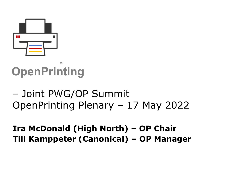

## **OpenPrinting** ®

– Joint PWG/OP Summit OpenPrinting Plenary – 17 May 2022

## **Ira McDonald (High North) – OP Chair Till Kamppeter (Canonical) – OP Manager**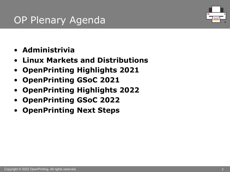## OP Plenary Agenda



- **Administrivia**
- **Linux Markets and Distributions**
- **OpenPrinting Highlights 2021**
- **OpenPrinting GSoC 2021**
- **OpenPrinting Highlights 2022**
- **OpenPrinting GSoC 2022**
- **OpenPrinting Next Steps**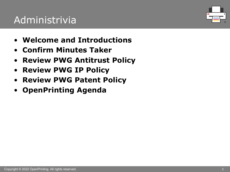## Administrivia

- **Welcome and Introductions**
- **Confirm Minutes Taker**
- **Review PWG Antitrust Policy**
- **Review PWG IP Policy**
- **Review PWG Patent Policy**
- **OpenPrinting Agenda**

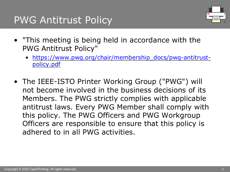## PWG Antitrust Policy

- "This meeting is being held in accordance with the PWG Antitrust Policy"
	- https://www.pwg.org/chair/membership\_docs/pwg-antit policy.pdf
- The IEEE-ISTO Printer Working Group ("PWG") w not become involved in the business decisions of Members. The PWG strictly complies with applica antitrust laws. Every PWG Member shall comply v this policy. The PWG Officers and PWG Workgrou Officers are responsible to ensure that this policy adhered to in all PWG activities.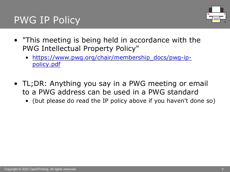## PWG IP Policy

- "This meeting is being held in accordance with th PWG Intellectual Property Policy"
	- https://www.pwg.org/chair/membership\_docs/pwg-ippolicy.pdf
- TL;DR: Anything you say in a PWG meeting or er to a PWG address can be used in a PWG standard
	- (but please do read the IP policy above if you haven't do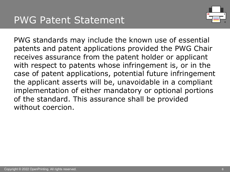

PWG standards may include the known use of essential patents and patent applications provided the PWG Chair receives assurance from the patent holder or applicant with respect to patents whose infringement is, or in the case of patent applications, potential future infringement the applicant asserts will be, unavoidable in a compliant implementation of either mandatory or optional portions of the standard. This assurance shall be provided without coercion.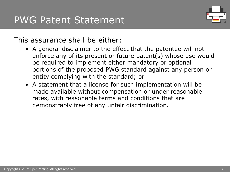

### This assurance shall be either:

- A general disclaimer to the effect that the patentee will not enforce any of its present or future patent(s) whose use would be required to implement either mandatory or optional portions of the proposed PWG standard against any person or entity complying with the standard; or
- A statement that a license for such implementation will be made available without compensation or under reasonable rates, with reasonable terms and conditions that are demonstrably free of any unfair discrimination.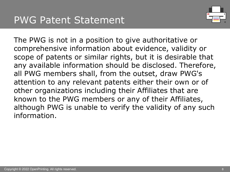

The PWG is not in a position to give authoritative or comprehensive information about evidence, validity or scope of patents or similar rights, but it is desirable that any available information should be disclosed. Therefore, all PWG members shall, from the outset, draw PWG's attention to any relevant patents either their own or of other organizations including their Affiliates that are known to the PWG members or any of their Affiliates, although PWG is unable to verify the validity of any such information.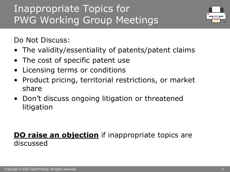## Inappropriate Topics for PWG Working Group Meetings



Do Not Discuss:

- The validity/essentiality of patents/patent claims
- The cost of specific patent use
- Licensing terms or conditions
- Product pricing, territorial restrictions, or market share
- Don't discuss ongoing litigation or threatened litigation

### **DO raise an objection** if inappropriate topics are discussed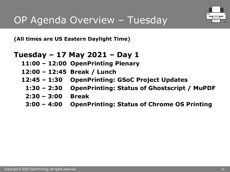## OP Agenda Overview – Tuesday

**(All times are US Eastern Daylight Time)**

### **Tuesday – 17 May 2021 – Day 1**

- **11:00 – 12:00 OpenPrinting Plenary**
- **12:00 – 12:45 Break / Lunch**
- **12:45 – 1:30 OpenPrinting: GSoC Project Updates**
	- **1:30 – 2:30 OpenPrinting: Status of Ghostscript / MuPDF**
	- **2:30 – 3:00 Break**
	- **3:00 – 4:00 OpenPrinting: Status of Chrome OS Printing**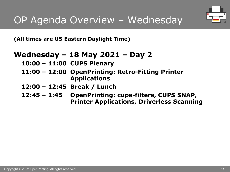

**(All times are US Eastern Daylight Time)**

### **Wednesday – 18 May 2021 – Day 2**

- **10:00 – 11:00 CUPS Plenary**
- **11:00 – 12:00 OpenPrinting: Retro-Fitting Printer Applications**
- **12:00 – 12:45 Break / Lunch**
- **12:45 – 1:45 OpenPrinting: cups-filters, CUPS SNAP, Printer Applications, Driverless Scanning**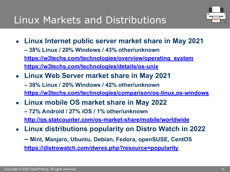## Li[nux Markets and Distributions](https://w3techs.com/technologies/comparison/os-linux,os-windows)

- **[Linux Internet public server market share in May 2](http://gs.statcounter.com/os-market-share/mobile/worldwide)021 – 38% Linux / 20% Windows / 43% other/unknown https://w3techs.com/technologies/overview/operating\_system [https://w3techs.com/technologies/details/os-unix](https://distrowatch.com/dwres.php?resource=popularity)**
- **Linux Web Server market share in May 2021 – 38% Linux / 20% Windows / 42% other/unknown https://w3techs.com/technologies/comparison/os-linux,os-windows**
- **Linux mobile OS market share in May 2022 – 72% Android / 27% iOS / 1% other/unknown http://gs.statcounter.com/os-market-share/mobile/worldwide**
- **Linux distributions popularity on Distro Watch in 20 – Mint, Manjaro, Ubuntu, Debian, Fedora, openSUSE, CentOS https://distrowatch.com/dwres.php?resource=popularity**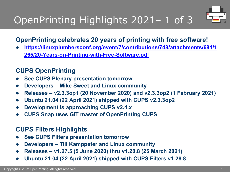# OpenPrinting Highlights 2021– 1 of 3

### **OpenPrinting celebrates 20 years of printing with free software.**

https://linuxplumbersconf.org/event/7/contributions/748/attachment **265/20-Years-on-Printing-with-Free-Software.pdf**

### **CUPS OpenPrinting**

- **See CUPS Plenary presentation tomorrow**
- **Developers – Mike Sweet and Linux community**
- **Releases v2.3.3op1 (20 November 2020) and v2.3.3op2 (1 February**
- **Ubuntu 21.04 (22 April 2021) shipped with CUPS v2.3.3op2**
- **Development is approaching CUPS v2.4.x**
- **CUPS Snap uses GIT master of OpenPrinting CUPS**

### **CUPS Filters Highlights**

- **See CUPS Filters presentation tomorrow**
- **Developers – Till Kamppeter and Linux community**
- **Releases – v1.27.5 (5 June 2020) thru v1.28.8 (25 March 2021)**
- **Ubuntu 21.04 (22 April 2021) shipped with CUPS Filters v1.28.8**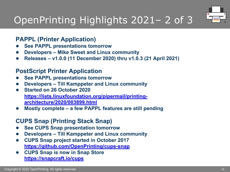# O[penPrinting Highlights 202](https://lists.linuxfoundation.org/pipermail/printing-architecture/2020/003899.html)1– 2 of 3

### **PAPPL (Printer Application)**

- **See PAPPL presentations tomorrow**
- **Developers – Mike Sweet and Linux community**
- **Releases – v1.0.0 (11 December 2020) thru v1.0.3 (21 April 2021)**

### **Po[stScript Printer Application](https://github.com/OpenPrinting/cups-snap)**

- **[See PAPPL presentation](https://snapcraft.io/cups)s tomorrow**
- **Developers – Till Kamppeter and Linux community**
- **Started on 26 October 2020 https://lists.linuxfoundation.org/pipermail/printingarchitecture/2020/003899.html**
- **Mostly complete – a few PAPPL features are still pending**

### **CUPS Snap (Printing Stack Snap)**

- **See CUPS Snap presentation tomorrow**
- **Developers – Till Kamppeter and Linux community**
- **CUPS Snap project started in October 2017 https://github.com/OpenPrinting/cups-snap**
- **CUPS Snap is now in Snap Store https://snapcraft.io/cups**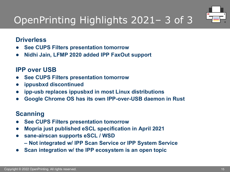

# OpenPrinting Highlights 2021– 3 of 3

#### **Driverless**

- **See CUPS Filters presentation tomorrow**
- **Nidhi Jain, LFMP 2020 added IPP FaxOut support**

#### **IPP over USB**

- **See CUPS Filters presentation tomorrow**
- **ippusbxd discontinued**
- **ipp-usb replaces ippusbxd in most Linux distributions**
- **Google Chrome OS has its own IPP-over-USB daemon in Rust**

#### **Scanning**

- **See CUPS Filters presentation tomorrow**
- **Mopria just published eSCL specification in April 2021**
- **sane-airscan supports eSCL / WSD**
	- **– Not integrated w/ IPP Scan Service or IPP System Service**
- **Scan integration w/ the IPP ecosystem is an open topic**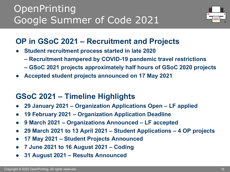## **OpenPrinting** Google Summer of Code 2021



## **OP in GSoC 2021 – Recruitment and Projects**

- **Student recruitment process started in late 2020** 
	- **– Recruitment hampered by COVID-19 pandemic travel restrictions**
	- **– GSoC 2021 projects approximately half hours of GSoC 2020 projects**
- **Accepted student projects announced on 17 May 2021**

## **GSoC 2021 – Timeline Highlights**

- **29 January 2021 – Organization Applications Open – LF applied**
- **19 February 2021 – Organization Application Deadline**
- **9 March 2021 – Organizations Announced – LF accepted**
- **29 March 2021 to 13 April 2021 – Student Applications – 4 OP projects**
- **17 May 2021 – Student Projects Announced**
- **7 June 2021 to 16 August 2021 – Coding**
- **31 August 2021 – Results Announced**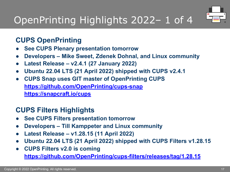# O[penPrinting Hig](https://snapcraft.io/cups)hlights 2022– 1 of 4

## **CUPS OpenPrinting**

- **See CUPS Plenary presentation tomorrow**
- **Developers – Mike Sweet, Zdenek Dohnal, and Linux community**
- **Latest Release – v2.4.1 (27 January 2022)**
- **Ubuntu 22.04 LTS (21 April 2022) shipped with CUPS v2.4.1**
- **[CUPS Snap uses GIT master of OpenPrinting CUPS](https://github.com/OpenPrinting/cups-filters/releases/tag/1.28.15) https://github.com/OpenPrinting/cups-snap https://snapcraft.io/cups**

## **CUPS Filters Highlights**

- **See CUPS Filters presentation tomorrow**
- **Developers – Till Kamppeter and Linux community**
- **Latest Release – v1.28.15 (11 April 2022)**
- **Ubuntu 22.04 LTS (21 April 2022) shipped with CUPS Filters v1.28.15**
- **CUPS Filters v2.0 is coming https://github.com/OpenPrinting/cups-filters/releases/tag/1.28.15**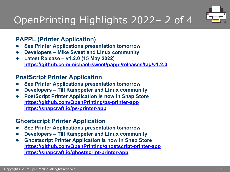# O[penPrinting Highlights 20](https://github.com/OpenPrinting/ps-printer-app)22– 2 of 4

#### **PAPPL (Printer Application)**

- **See Printer Applications presentation tomorrow**
- **Developers – Mike Sweet and Linux community**
- **Latest Release – v1.2.0 (15 May 2022) [https://github.com/michaelrsweet/pappl/releases/tag/v1.2](https://github.com/OpenPrinting/ghostscript-printer-app).0**

#### **Po[stScript Printer Application](https://snapcraft.io/ghostscript-printer-app)**

- **See Printer Applications presentation tomorrow**
- **Developers – Till Kamppeter and Linux community**
- **PostScript Printer Application is now in Snap Store https://github.com/OpenPrinting/ps-printer-app https://snapcraft.io/ps-printer-app**

#### **Ghostscript Printer Application**

- **See Printer Applications presentation tomorrow**
- **Developers – Till Kamppeter and Linux community**
- **Ghostscript Printer Application is now in Snap Store https://github.com/OpenPrinting/ghostscript-printer-app https://snapcraft.io/ghostscript-printer-app**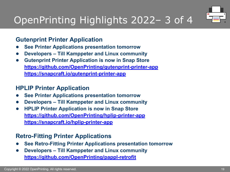# OpenPrinting Highlights 2022– 3 of 4

#### **Gutenprint [Printer Application](https://snapcraft.io/hplip-printer-app)**

- **See Printer Applications presentation tomorrow**
- **Developers – Till Kamppeter and Linux community**
- **Gutenprint Printer Application is now in Snap Store https://github.com/OpenPrinting/gutenprint-printer-app [https://snapcraft.io/gutenprint-printer-app](https://github.com/OpenPrinting/pappl-retrofit)**

#### **HPLIP Printer Application**

- **See Printer Applications presentation tomorrow**
- **Developers – Till Kamppeter and Linux community**
- **HPLIP Printer Application is now in Snap Store https://github.com/OpenPrinting/hplip-printer-app https://snapcraft.io/hplip-printer-app**

#### **Retro-Fitting Printer Applications**

- **See Retro-Fitting Printer Applications presentation tomorrow**
- **Developers – Till Kamppeter and Linux community https://github.com/OpenPrinting/pappl-retrofit**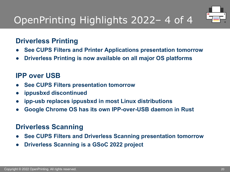# OpenPrinting Highlights 2022– 4 of 4



### **Driverless Printing**

- **See CUPS Filters and Printer Applications presentation tomorrow**
- **Driverless Printing is now available on all major OS platforms**

### **IPP over USB**

- **See CUPS Filters presentation tomorrow**
- **ippusbxd discontinued**
- **ipp-usb replaces ippusbxd in most Linux distributions**
- **Google Chrome OS has its own IPP-over-USB daemon in Rust**

### **Driverless Scanning**

- **See CUPS Filters and Driverless Scanning presentation tomorrow**
- **Driverless Scanning is a GSoC 2022 project**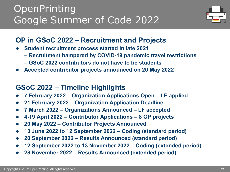## **OpenPrinting** Google Summer of Code 2022



### **OP in GSoC 2022 – Recruitment and Projects**

- **Student recruitment process started in late 2021** 
	- **– Recruitment hampered by COVID-19 pandemic travel restrictions**
	- **– GSoC 2022 contributors do not have to be students**
- Accepted contributor projects announced on 20 May 2022

### **GSoC 2022 – Timeline Highlights**

- **7 February 2022 – Organization Applications Open – LF applied**
- **21 February 2022 – Organization Application Deadline**
- **7 March 2022 – Organizations Announced – LF accepted**
- **4-19 April 2022 – Contributor Applications – 8 OP projects**
- **20 May 2022 – Contributor Projects Announced**
- **13 June 2022 to 12 September 2022 – Coding (standard period)**
- **20 September 2022 – Results Announced (standard period)**
- **12 September 2022 to 13 November 2022 – Coding (extended period)**
- **28 November 2022 – Results Announced (extended period)**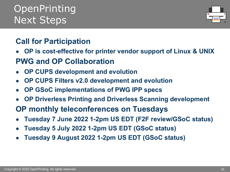## **OpenPrinting** Next Steps

## **Call for Participation**

- **OP is cost-effective for printer vendor support of Linux & UNIX PWG and OP Collaboration**
- **OP CUPS development and evolution**
- **OP CUPS Filters v2.0 development and evolution**
- **OP GSoC implementations of PWG IPP specs**
- **OP Driverless Printing and Driverless Scanning development**
- **OP monthly teleconferences on Tuesdays**
- **Tuesday 7 June 2022 1-2pm US EDT (F2F review/GSoC status)**
- **Tuesday 5 July 2022 1-2pm US EDT (GSoC status)**
- **Tuesday 9 August 2022 1-2pm US EDT (GSoC status)**